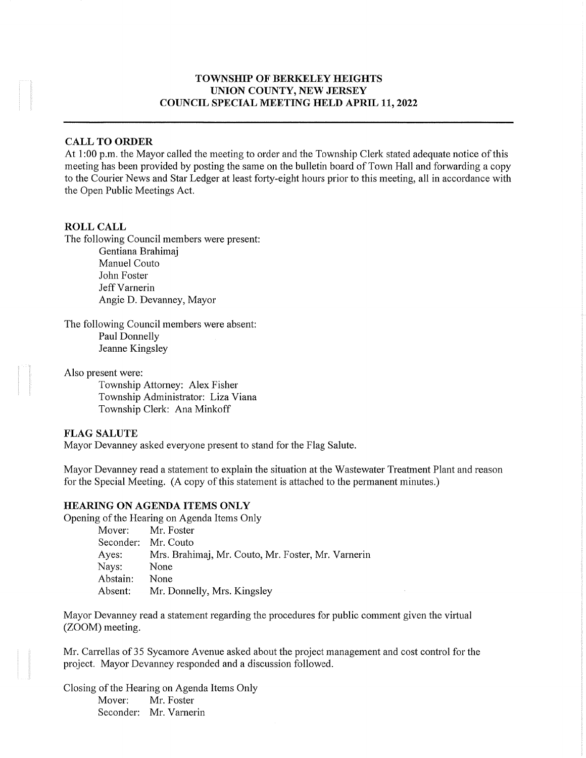# TOWNSHIP OF BERKELEY HEIGHTS UNION COUNTY, NEW JERSEY COUNCIL SPECIAL MEETING HELD APML 11,2022

# CALL TO ORDER

At 1:00 p.m. the Mayor called the meeting to order and the Township Clerk stated adequate notice of this meeting has been provided by posting the same on the bulletin board of Town Hall and forwarding a copy to the Courier News and Star Ledger at least forty-eight hours prior to this meeting, all in accordance with the Open Public Meetings Act.

#### ROLL CALL

The following Council members were present:

Gentiana Brahimaj Manuel Couto John Foster Jeff Varnerin Angie D. Devanney, Mayor

The following Council members were absent: Paul Donnelly Jeanne Kingsley

Also present were:

Township Attorney: Alex Fisher Township Administrator: Liza Viana Township Clerk: Ana Minkoff

#### FLAG SALUTE

Mayor Devanney asked everyone present to stand for the Flag Salute.

Mayor Devanney read a statement to explain the situation at the Wastewater Treatment Plant and reason for the Special Meeting. (A copy of this statement is attached to the permanent minutes.)

#### HEARING ON AGENDA ITEMS ONLY

Opening of the Hearing on Agenda Items Only

Mover: Mr. Foster Seconder: Mr. Couto Ayes: Mrs. Brahimaj, Mr. Couto, Mr. Foster, Mr. Varnerin Nays: None Abstain: None Absent: Mr. Donnelly, Mrs. Kingsley

Mayor Devanney read a statement regarding the procedures for public comment given the virtual (ZOOM) meeting.

Mr. Carrellas of 35 Sycamore Avenue asked about the project management and cost control for the project. Mayor Devanney responded and a discussion followed.

Closing of the Hearing on Agenda Items Only Mover: Mr. Foster Seconder: Mr. Varnerin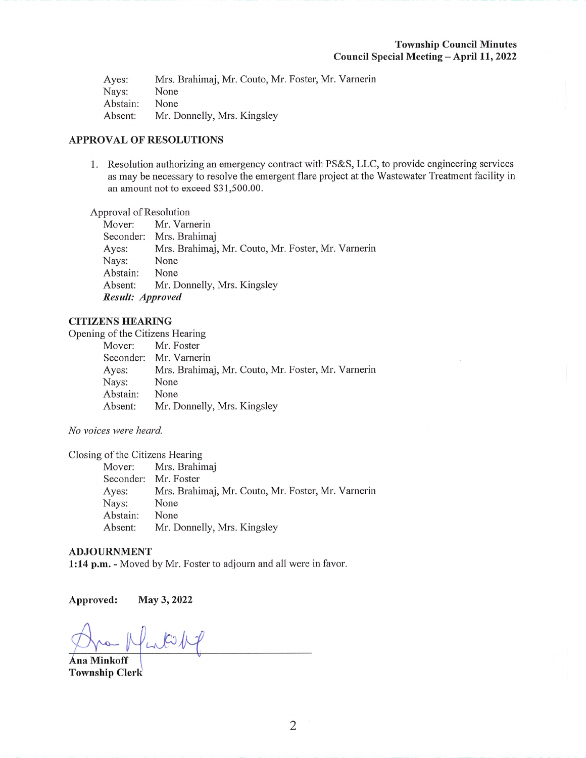Ayes: Mrs. Brahimaj, Mr. Couto, Mr. Foster, Mr. Varnerin Nays: None<br>Abstain: None Abstain: Absent: Mr. Donnelly, Mrs. Kingsley

# APPROVAL OF RESOLUTIONS

1. Resolution authorizing an emergency contract with PS&S, LLC, to provide engineering services as may be necessaiy to resolve the emergent flare project at the Wastewater Treatment facility in an amount not to exceed \$31,500.00.

# Approval of Resolution<br>Mover: Mr. Varr

Mr. Varnerin Seconder: Mrs. Brahimaj Ayes: Mrs. Brahimaj, Mr. Couto, Mr. Foster, Mr. Varnerin Nays: None Abstain: None Absent: Mr. Donnelly, Mrs. Kingsley Result: Approved

### CITIZENS HEARING

Opening of the Citizens Hearing

|          | Mover: Mr. Foster                                  |
|----------|----------------------------------------------------|
|          | Seconder: Mr. Varnerin                             |
| Ayes:    | Mrs. Brahimaj, Mr. Couto, Mr. Foster, Mr. Varnerin |
| Nays:    | None                                               |
| Abstain: | None                                               |
| Absent:  | Mr. Donnelly, Mrs. Kingsley                        |
|          |                                                    |

No voices were heard.

Closing of the Citizens Hearing

Mover: Mrs. Brahimaj Seconder: Mr. Foster Ayes: Mrs. Brahimaj, Mr. Couto, Mr. Foster, Mr. Varnerin Nays: None Abstain: None Absent: Mr. Donnelly, Mrs. Kingsley

#### ADJOURNMENT

1:14 p.m. - Moved by Mr. Foster to adjourn and all were in favor.

Approved: May 3, 2022

Lotop Ana Minkoff

Township Clerk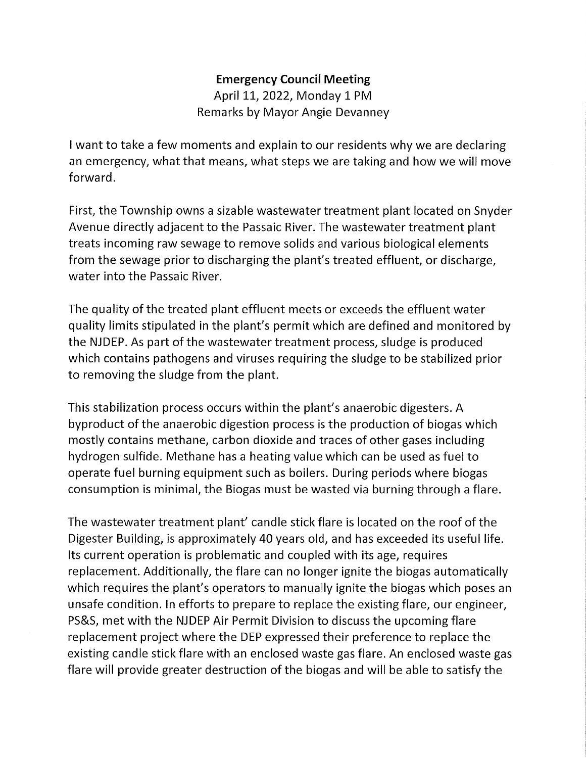# Emergency Council Meeting April 11, 2022, Monday I PM Remarks by Mayor Angie Devanney

I want to take a few moments and explain to our residents why we are declaring an emergency, what that means, what steps we are taking and how we will move forward.

First, the Township owns a sizable wastewater treatment plant located on Snyder Avenue directly adjacent to the Passaic River. The wastewater treatment plant treats incoming raw sewage to remove solids and various biological elements from the sewage prior to discharging the plant's treated effluent, or discharge, water into the Passaic River.

The quality of the treated plant effluent meets or exceeds the effluent water quality limits stipulated in the plant's permit which are defined and monitored by the NJDEP. As part of the wastewater treatment process, sludge is produced which contains pathogens and viruses requiring the sludge to be stabilized prior to removing the sludge from the plant.

This stabilization process occurs within the plant's anaerobic digesters. A byproduct of the anaerobic digestion process is the production of biogas which mostly contains methane, carbon dioxide and traces of other gases including hydrogen sulfide. Methane has a heating value which can be used as fuel to operate fuel burning equipment such as boilers. During periods where biogas consumption is minimal, the Biogas must be wasted via burning through a flare.

The wastewater treatment plant' candle stick flare is located on the roof of the Digester Building, is approximately 40 years old, and has exceeded its useful life. Its current operation is problematic and coupled with its age, requires replacement. Additionally, the flare can no longer ignite the biogas automatically which requires the plant's operators to manually ignite the biogas which poses an unsafe condition. In efforts to prepare to replace the existing flare, our engineer, PS&S, met with the NJDEP Air Permit Division to discuss the upcoming flare replacement project where the DEP expressed their preference to replace the existing candle stick flare with an enclosed waste gas flare. An enclosed waste gas flare will provide greater destruction of the biogas and will be able to satisfy the